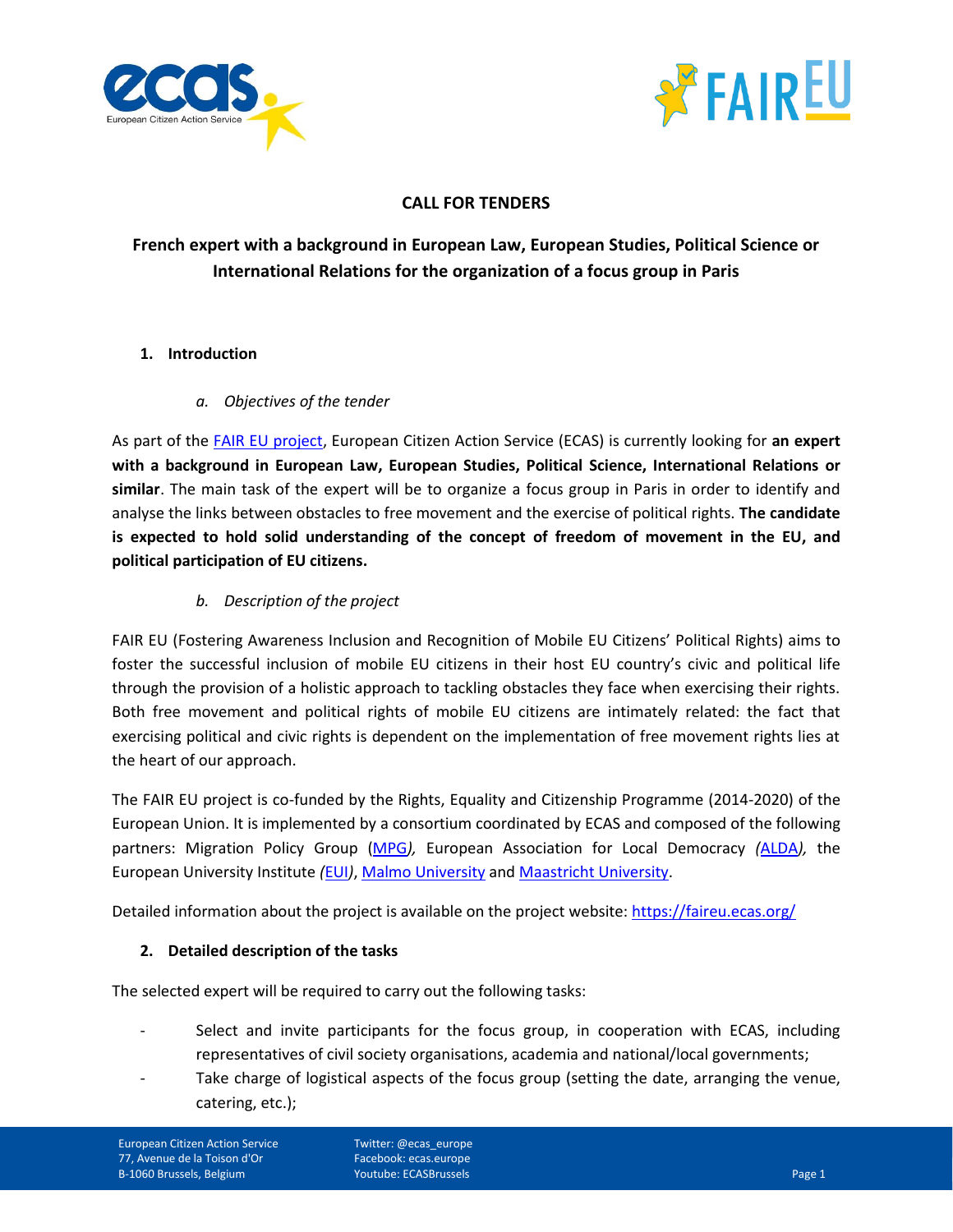



# **CALL FOR TENDERS**

# **French expert with a background in European Law, European Studies, Political Science or International Relations for the organization of a focus group in Paris**

# **1. Introduction**

# *a. Objectives of the tender*

As part of the [FAIR EU project,](https://faireu.ecas.org/) European Citizen Action Service (ECAS) is currently looking for **an expert with a background in European Law, European Studies, Political Science, International Relations or similar**. The main task of the expert will be to organize a focus group in Paris in order to identify and analyse the links between obstacles to free movement and the exercise of political rights. **The candidate is expected to hold solid understanding of the concept of freedom of movement in the EU, and political participation of EU citizens.**

# *b. Description of the project*

FAIR EU (Fostering Awareness Inclusion and Recognition of Mobile EU Citizens' Political Rights) aims to foster the successful inclusion of mobile EU citizens in their host EU country's civic and political life through the provision of a holistic approach to tackling obstacles they face when exercising their rights. Both free movement and political rights of mobile EU citizens are intimately related: the fact that exercising political and civic rights is dependent on the implementation of free movement rights lies at the heart of our approach.

The FAIR EU project is co-funded by the Rights, Equality and Citizenship Programme (2014-2020) of the European Union. It is implemented by a consortium coordinated by ECAS and composed of the following partners: Migration Policy Group [\(MPG](http://www.migpolgroup.com/)*),* European Association for Local Democracy *(*[ALDA](http://www.alda-europe.eu/newSite/)*),* the European University Institute *(*[EUI](https://www.eui.eu/)*)*, Malmo [University](https://www.mah.se/english) an[d Maastricht University.](https://www.maastrichtuniversity.nl/)

Detailed information about the project is available on the project website:<https://faireu.ecas.org/>

### **2. Detailed description of the tasks**

The selected expert will be required to carry out the following tasks:

- Select and invite participants for the focus group, in cooperation with ECAS, including representatives of civil society organisations, academia and national/local governments;
- Take charge of logistical aspects of the focus group (setting the date, arranging the venue, catering, etc.);

European Citizen Action Service 77, Avenue de la Toison d'Or B-1060 Brussels, Belgium

Twitter: @ecas\_europe Facebook: ecas.europe **Youtube: ECASBrussels** Page 1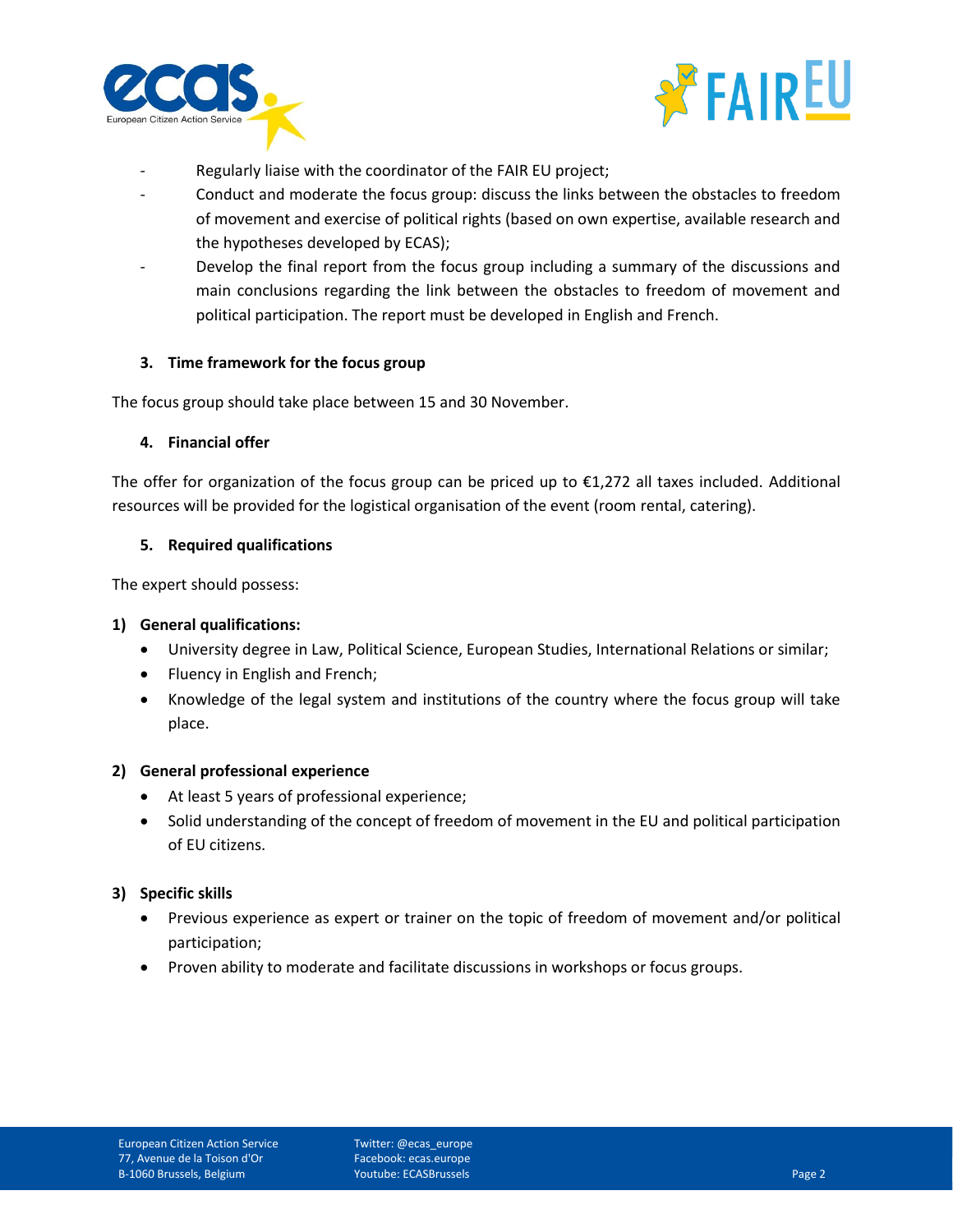



- Regularly liaise with the coordinator of the FAIR EU project;
- Conduct and moderate the focus group: discuss the links between the obstacles to freedom of movement and exercise of political rights (based on own expertise, available research and the hypotheses developed by ECAS);
- Develop the final report from the focus group including a summary of the discussions and main conclusions regarding the link between the obstacles to freedom of movement and political participation. The report must be developed in English and French.

### **3. Time framework for the focus group**

The focus group should take place between 15 and 30 November.

#### **4. Financial offer**

The offer for organization of the focus group can be priced up to €1,272 all taxes included. Additional resources will be provided for the logistical organisation of the event (room rental, catering).

#### **5. Required qualifications**

The expert should possess:

### **1) General qualifications:**

- University degree in Law, Political Science, European Studies, International Relations or similar;
- Fluency in English and French;
- Knowledge of the legal system and institutions of the country where the focus group will take place.

#### **2) General professional experience**

- At least 5 years of professional experience;
- Solid understanding of the concept of freedom of movement in the EU and political participation of EU citizens.

### **3) Specific skills**

- Previous experience as expert or trainer on the topic of freedom of movement and/or political participation;
- Proven ability to moderate and facilitate discussions in workshops or focus groups.

Twitter: @ecas\_europe Facebook: ecas.europe Youtube: ECASBrussels Page 2